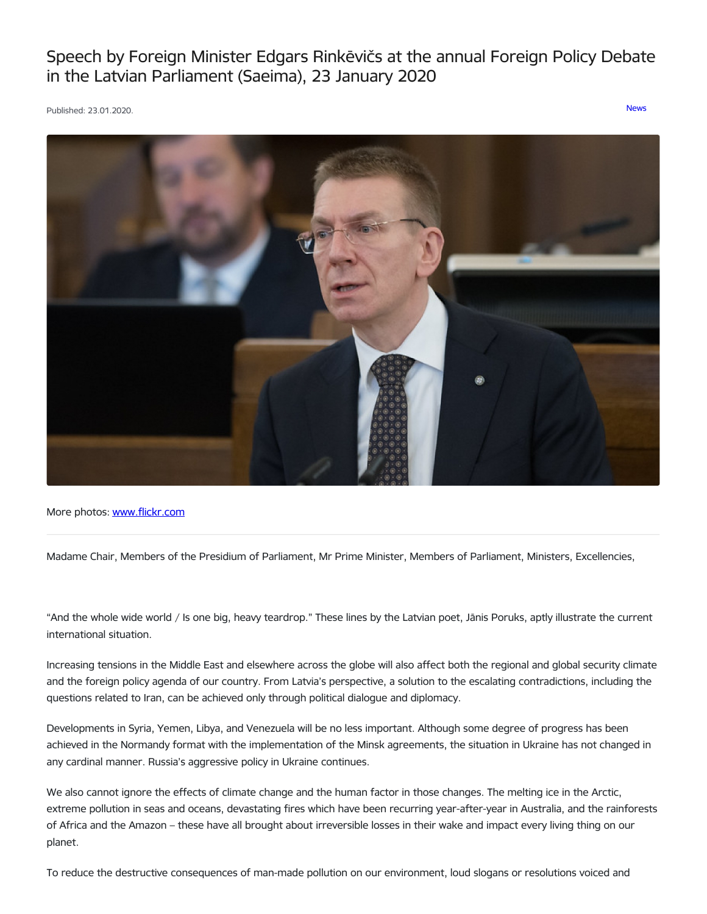Speech by Foreign Minister Edgars Rinkēvičs at the annual Foreign Policy Debate in the Latvian Parliament (Saeima), 23 January 2020

Published: 23.01.2020. [News](https://www.mfa.gov.lv/en/articles?category%255B253%255D=253)



More photos: [www.flickr.com](https://www.flickr.com/photos/latvianmfa/with/49428292053)

Madame Chair, Members of the Presidium of Parliament, Mr Prime Minister, Members of Parliament, Ministers, Excellencies,

"And the whole wide world / Is one big, heavy teardrop." These lines by the Latvian poet, Jānis Poruks, aptly illustrate the current international situation.

Increasing tensions in the Middle East and elsewhere across the globe will also affect both the regional and global security climate and the foreign policy agenda of our country. From Latvia's perspective, a solution to the escalating contradictions, including the questions related to Iran, can be achieved only through political dialogue and diplomacy.

Developments in Syria, Yemen, Libya, and Venezuela will be no less important. Although some degree of progress has been achieved in the Normandy format with the implementation of the Minsk agreements, the situation in Ukraine has not changed in any cardinal manner. Russia's aggressive policy in Ukraine continues.

We also cannot ignore the effects of climate change and the human factor in those changes. The melting ice in the Arctic, extreme pollution in seas and oceans, devastating fires which have been recurring year-after-year in Australia, and the rainforests of Africa and the Amazon – these have all brought about irreversible losses in their wake and impact every living thing on our planet.

To reduce the destructive consequences of man-made pollution on our environment, loud slogans or resolutions voiced and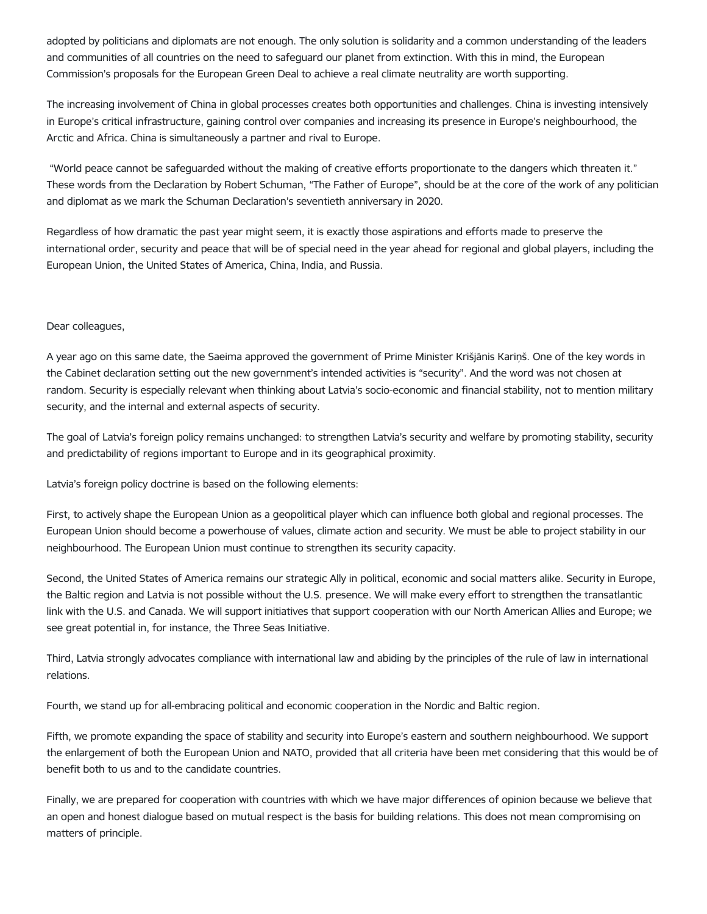adopted by politicians and diplomats are not enough. The only solution is solidarity and a common understanding of the leaders and communities of all countries on the need to safeguard our planet from extinction. With this in mind, the European Commission's proposals for the European Green Deal to achieve a real climate neutrality are worth supporting.

The increasing involvement of China in global processes creates both opportunities and challenges. China is investing intensively in Europe's critical infrastructure, gaining control over companies and increasing its presence in Europe's neighbourhood, the Arctic and Africa. China is simultaneously a partner and rival to Europe.

"World peace cannot be safeguarded without the making of creative efforts proportionate to the dangers which threaten it." These words from the Declaration by Robert Schuman, "The Father of Europe", should be at the core of the work of any politician and diplomat as we mark the Schuman Declaration's seventieth anniversary in 2020.

Regardless of how dramatic the past year might seem, it is exactly those aspirations and efforts made to preserve the international order, security and peace that will be of special need in the year ahead for regional and global players, including the European Union, the United States of America, China, India, and Russia.

# Dear colleagues,

A year ago on this same date, the Saeima approved the government of Prime Minister Krišjānis Kariņš. One of the key words in the Cabinet declaration setting out the new government's intended activities is "security". And the word was not chosen at random. Security is especially relevant when thinking about Latvia's socio-economic and financial stability, not to mention military security, and the internal and external aspects of security.

The goal of Latvia's foreign policy remains unchanged: to strengthen Latvia's security and welfare by promoting stability, security and predictability of regions important to Europe and in its geographical proximity.

Latvia's foreign policy doctrine is based on the following elements:

First, to actively shape the European Union as a geopolitical player which can influence both global and regional processes. The European Union should become a powerhouse of values, climate action and security. We must be able to project stability in our neighbourhood. The European Union must continue to strengthen its security capacity.

Second, the United States of America remains our strategic Ally in political, economic and social matters alike. Security in Europe, the Baltic region and Latvia is not possible without the U.S. presence. We will make every effort to strengthen the transatlantic link with the U.S. and Canada. We will support initiatives that support cooperation with our North American Allies and Europe; we see great potential in, for instance, the Three Seas Initiative.

Third, Latvia strongly advocates compliance with international law and abiding by the principles of the rule of law in international relations.

Fourth, we stand up for all-embracing political and economic cooperation in the Nordic and Baltic region.

Fifth, we promote expanding the space of stability and security into Europe's eastern and southern neighbourhood. We support the enlargement of both the European Union and NATO, provided that all criteria have been met considering that this would be of benefit both to us and to the candidate countries.

Finally, we are prepared for cooperation with countries with which we have major differences of opinion because we believe that an open and honest dialogue based on mutual respect is the basis for building relations. This does not mean compromising on matters of principle.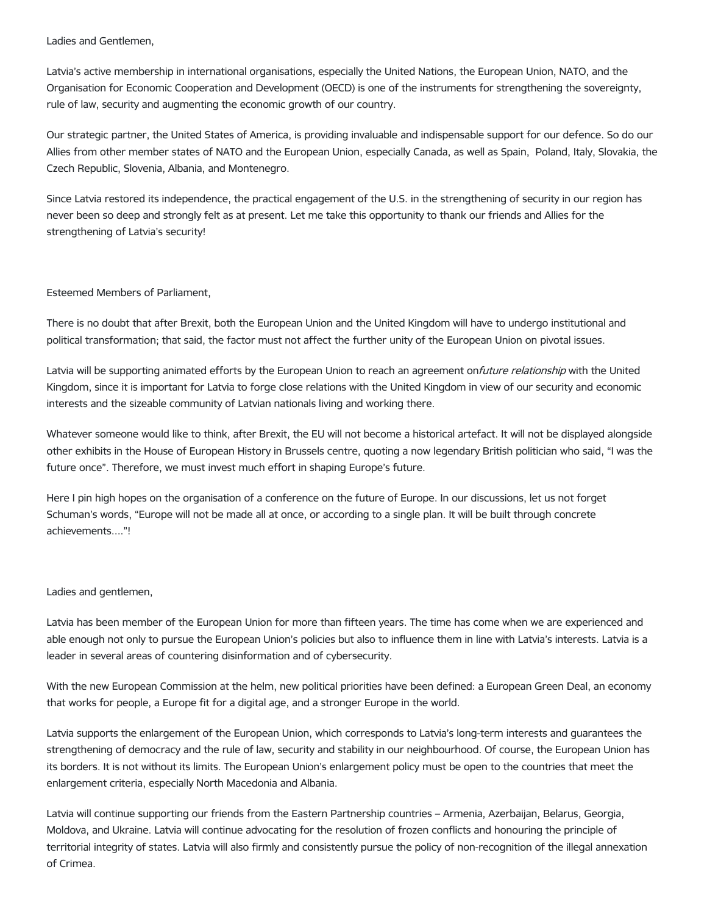Ladies and Gentlemen,

Latvia's active membership in international organisations, especially the United Nations, the European Union, NATO, and the Organisation for Economic Cooperation and Development (OECD) is one of the instruments for strengthening the sovereignty, rule of law, security and augmenting the economic growth of our country.

Our strategic partner, the United States of America, is providing invaluable and indispensable support for our defence. So do our Allies from other member states of NATO and the European Union, especially Canada, as well as Spain, Poland, Italy, Slovakia, the Czech Republic, Slovenia, Albania, and Montenegro.

Since Latvia restored its independence, the practical engagement of the U.S. in the strengthening of security in our region has never been so deep and strongly felt as at present. Let me take this opportunity to thank our friends and Allies for the strengthening of Latvia's security!

Esteemed Members of Parliament,

There is no doubt that after Brexit, both the European Union and the United Kingdom will have to undergo institutional and political transformation; that said, the factor must not affect the further unity of the European Union on pivotal issues.

Latvia will be supporting animated efforts by the European Union to reach an agreement onfuture relationship with the United Kingdom, since it is important for Latvia to forge close relations with the United Kingdom in view of our security and economic interests and the sizeable community of Latvian nationals living and working there.

Whatever someone would like to think, after Brexit, the EU will not become a historical artefact. It will not be displayed alongside other exhibits in the House of European History in Brussels centre, quoting a now legendary British politician who said, "I was the future once". Therefore, we must invest much effort in shaping Europe's future.

Here I pin high hopes on the organisation of a conference on the future of Europe. In our discussions, let us not forget Schuman's words, "Europe will not be made all at once, or according to a single plan. It will be built through concrete achievements...."!

# Ladies and gentlemen,

Latvia has been member of the European Union for more than fifteen years. The time has come when we are experienced and able enough not only to pursue the European Union's policies but also to influence them in line with Latvia's interests. Latvia is a leader in several areas of countering disinformation and of cybersecurity.

With the new European Commission at the helm, new political priorities have been defined: a European Green Deal, an economy that works for people, a Europe fit for a digital age, and a stronger Europe in the world.

Latvia supports the enlargement of the European Union, which corresponds to Latvia's long-term interests and guarantees the strengthening of democracy and the rule of law, security and stability in our neighbourhood. Of course, the European Union has its borders. It is not without its limits. The European Union's enlargement policy must be open to the countries that meet the enlargement criteria, especially North Macedonia and Albania.

Latvia will continue supporting our friends from the Eastern Partnership countries – Armenia, Azerbaijan, Belarus, Georgia, Moldova, and Ukraine. Latvia will continue advocating for the resolution of frozen conflicts and honouring the principle of territorial integrity of states. Latvia will also firmly and consistently pursue the policy of non-recognition of the illegal annexation of Crimea.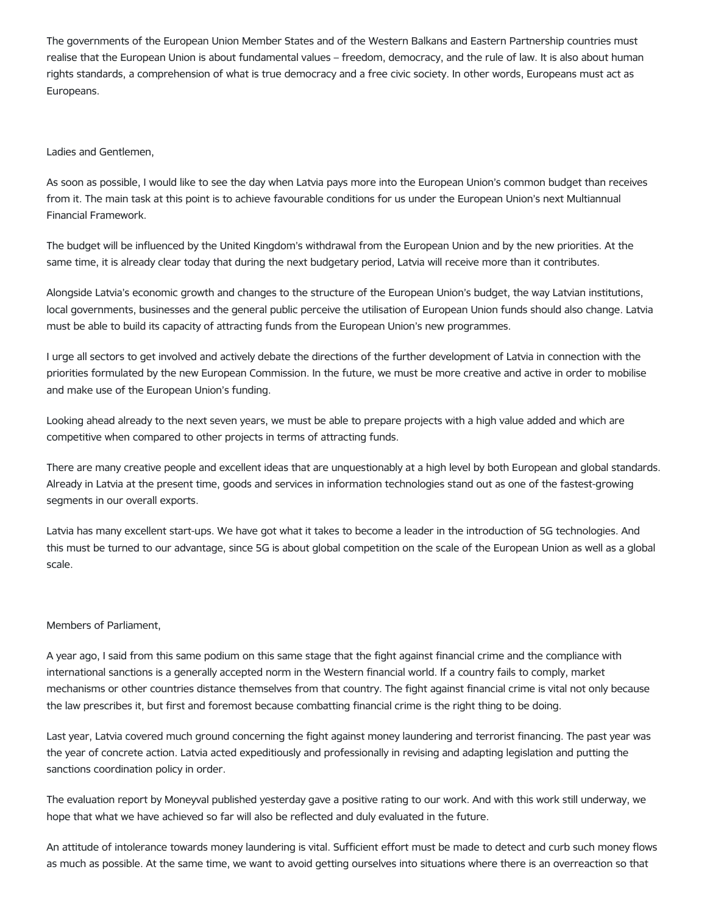The governments of the European Union Member States and of the Western Balkans and Eastern Partnership countries must realise that the European Union is about fundamental values – freedom, democracy, and the rule of law. It is also about human rights standards, a comprehension of what is true democracy and a free civic society. In other words, Europeans must act as Europeans.

### Ladies and Gentlemen,

As soon as possible, I would like to see the day when Latvia pays more into the European Union's common budget than receives from it. The main task at this point is to achieve favourable conditions for us under the European Union's next Multiannual Financial Framework.

The budget will be influenced by the United Kingdom's withdrawal from the European Union and by the new priorities. At the same time, it is already clear today that during the next budgetary period, Latvia will receive more than it contributes.

Alongside Latvia's economic growth and changes to the structure of the European Union's budget, the way Latvian institutions, local governments, businesses and the general public perceive the utilisation of European Union funds should also change. Latvia must be able to build its capacity of attracting funds from the European Union's new programmes.

I urge all sectors to get involved and actively debate the directions of the further development of Latvia in connection with the priorities formulated by the new European Commission. In the future, we must be more creative and active in order to mobilise and make use of the European Union's funding.

Looking ahead already to the next seven years, we must be able to prepare projects with a high value added and which are competitive when compared to other projects in terms of attracting funds.

There are many creative people and excellent ideas that are unquestionably at a high level by both European and global standards. Already in Latvia at the present time, goods and services in information technologies stand out as one of the fastest-growing segments in our overall exports.

Latvia has many excellent start-ups. We have got what it takes to become a leader in the introduction of 5G technologies. And this must be turned to our advantage, since 5G is about global competition on the scale of the European Union as well as a global scale.

### Members of Parliament,

A year ago, I said from this same podium on this same stage that the fight against financial crime and the compliance with international sanctions is a generally accepted norm in the Western financial world. If a country fails to comply, market mechanisms or other countries distance themselves from that country. The fight against financial crime is vital not only because the law prescribes it, but first and foremost because combatting financial crime is the right thing to be doing.

Last year, Latvia covered much ground concerning the fight against money laundering and terrorist financing. The past year was the year of concrete action. Latvia acted expeditiously and professionally in revising and adapting legislation and putting the sanctions coordination policy in order.

The evaluation report by Moneyval published yesterday gave a positive rating to our work. And with this work still underway, we hope that what we have achieved so far will also be reflected and duly evaluated in the future.

An attitude of intolerance towards money laundering is vital. Sufficient effort must be made to detect and curb such money flows as much as possible. At the same time, we want to avoid getting ourselves into situations where there is an overreaction so that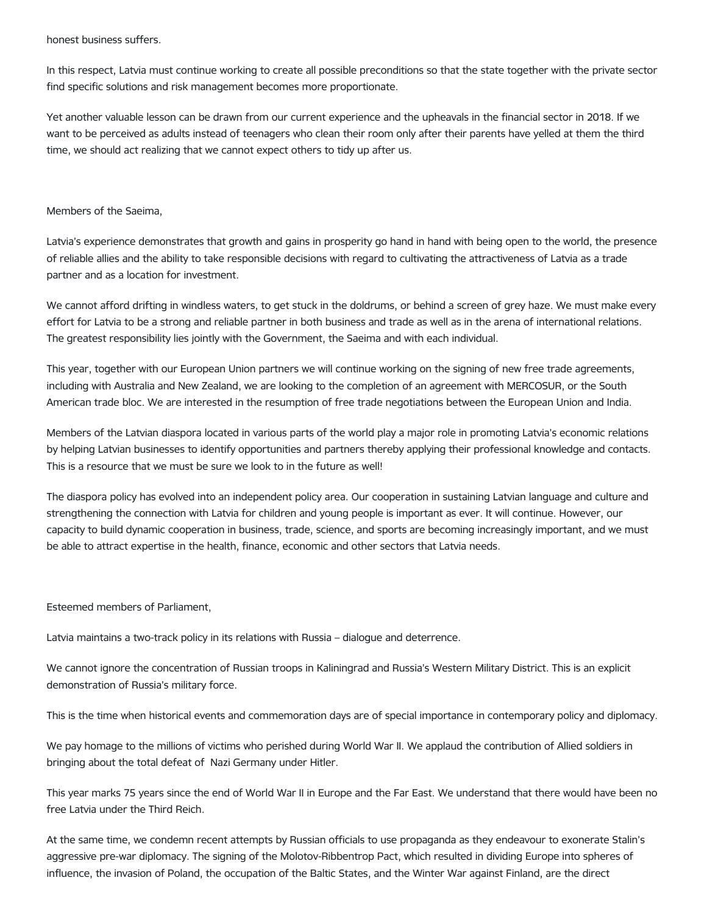honest business suffers.

In this respect, Latvia must continue working to create all possible preconditions so that the state together with the private sector find specific solutions and risk management becomes more proportionate.

Yet another valuable lesson can be drawn from our current experience and the upheavals in the financial sector in 2018. If we want to be perceived as adults instead of teenagers who clean their room only after their parents have yelled at them the third time, we should act realizing that we cannot expect others to tidy up after us.

#### Members of the Saeima,

Latvia's experience demonstrates that growth and gains in prosperity go hand in hand with being open to the world, the presence of reliable allies and the ability to take responsible decisions with regard to cultivating the attractiveness of Latvia as a trade partner and as a location for investment.

We cannot afford drifting in windless waters, to get stuck in the doldrums, or behind a screen of grey haze. We must make every effort for Latvia to be a strong and reliable partner in both business and trade as well as in the arena of international relations. The greatest responsibility lies jointly with the Government, the Saeima and with each individual.

This year, together with our European Union partners we will continue working on the signing of new free trade agreements, including with Australia and New Zealand, we are looking to the completion of an agreement with MERCOSUR, or the South American trade bloc. We are interested in the resumption of free trade negotiations between the European Union and India.

Members of the Latvian diaspora located in various parts of the world play a major role in promoting Latvia's economic relations by helping Latvian businesses to identify opportunities and partners thereby applying their professional knowledge and contacts. This is a resource that we must be sure we look to in the future as well!

The diaspora policy has evolved into an independent policy area. Our cooperation in sustaining Latvian language and culture and strengthening the connection with Latvia for children and young people is important as ever. It will continue. However, our capacity to build dynamic cooperation in business, trade, science, and sports are becoming increasingly important, and we must be able to attract expertise in the health, finance, economic and other sectors that Latvia needs.

Esteemed members of Parliament,

Latvia maintains a two-track policy in its relations with Russia – dialogue and deterrence.

We cannot ignore the concentration of Russian troops in Kaliningrad and Russia's Western Military District. This is an explicit demonstration of Russia's military force.

This is the time when historical events and commemoration days are of special importance in contemporary policy and diplomacy.

We pay homage to the millions of victims who perished during World War II. We applaud the contribution of Allied soldiers in bringing about the total defeat of Nazi Germany under Hitler.

This year marks 75 years since the end of World War II in Europe and the Far East. We understand that there would have been no free Latvia under the Third Reich.

At the same time, we condemn recent attempts by Russian officials to use propaganda as they endeavour to exonerate Stalin's aggressive pre-war diplomacy. The signing of the Molotov-Ribbentrop Pact, which resulted in dividing Europe into spheres of influence, the invasion of Poland, the occupation of the Baltic States, and the Winter War against Finland, are the direct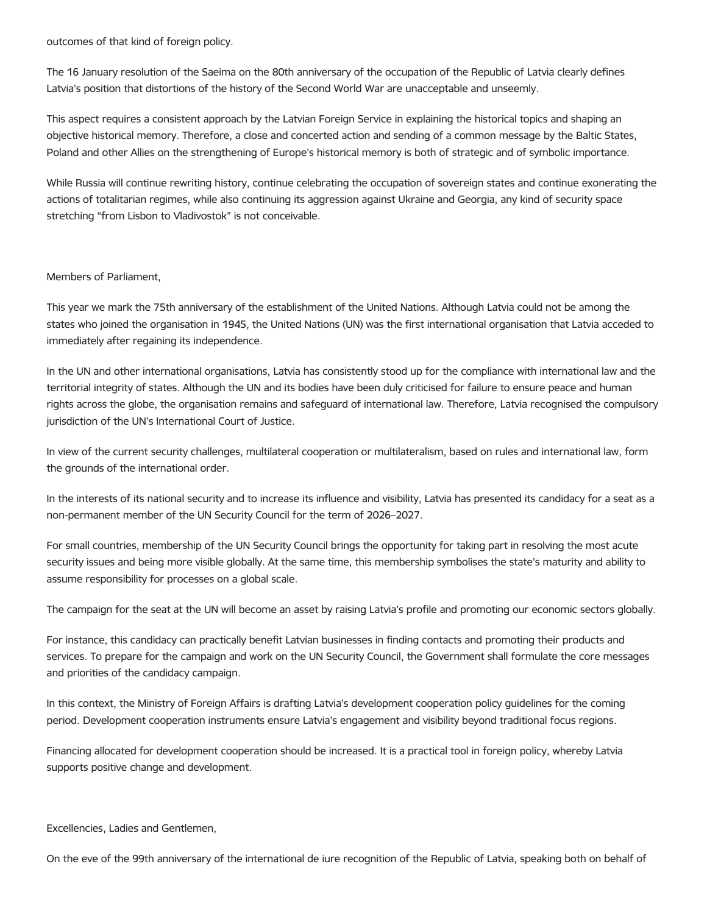outcomes of that kind of foreign policy.

The 16 January resolution of the Saeima on the 80th anniversary of the occupation of the Republic of Latvia clearly defines Latvia's position that distortions of the history of the Second World War are unacceptable and unseemly.

This aspect requires a consistent approach by the Latvian Foreign Service in explaining the historical topics and shaping an objective historical memory. Therefore, a close and concerted action and sending of a common message by the Baltic States, Poland and other Allies on the strengthening of Europe's historical memory is both of strategic and of symbolic importance.

While Russia will continue rewriting history, continue celebrating the occupation of sovereign states and continue exonerating the actions of totalitarian regimes, while also continuing its aggression against Ukraine and Georgia, any kind of security space stretching "from Lisbon to Vladivostok" is not conceivable.

# Members of Parliament,

This year we mark the 75th anniversary of the establishment of the United Nations. Although Latvia could not be among the states who joined the organisation in 1945, the United Nations (UN) was the first international organisation that Latvia acceded to immediately after regaining its independence.

In the UN and other international organisations, Latvia has consistently stood up for the compliance with international law and the territorial integrity of states. Although the UN and its bodies have been duly criticised for failure to ensure peace and human rights across the globe, the organisation remains and safeguard of international law. Therefore, Latvia recognised the compulsory jurisdiction of the UN's International Court of Justice.

In view of the current security challenges, multilateral cooperation or multilateralism, based on rules and international law, form the grounds of the international order.

In the interests of its national security and to increase its influence and visibility, Latvia has presented its candidacy for a seat as a non-permanent member of the UN Security Council for the term of 2026–2027.

For small countries, membership of the UN Security Council brings the opportunity for taking part in resolving the most acute security issues and being more visible globally. At the same time, this membership symbolises the state's maturity and ability to assume responsibility for processes on a global scale.

The campaign for the seat at the UN will become an asset by raising Latvia's profile and promoting our economic sectors globally.

For instance, this candidacy can practically benefit Latvian businesses in finding contacts and promoting their products and services. To prepare for the campaign and work on the UN Security Council, the Government shall formulate the core messages and priorities of the candidacy campaign.

In this context, the Ministry of Foreign Affairs is drafting Latvia's development cooperation policy guidelines for the coming period. Development cooperation instruments ensure Latvia's engagement and visibility beyond traditional focus regions.

Financing allocated for development cooperation should be increased. It is a practical tool in foreign policy, whereby Latvia supports positive change and development.

Excellencies, Ladies and Gentlemen,

On the eve of the 99th anniversary of the international de iure recognition of the Republic of Latvia, speaking both on behalf of